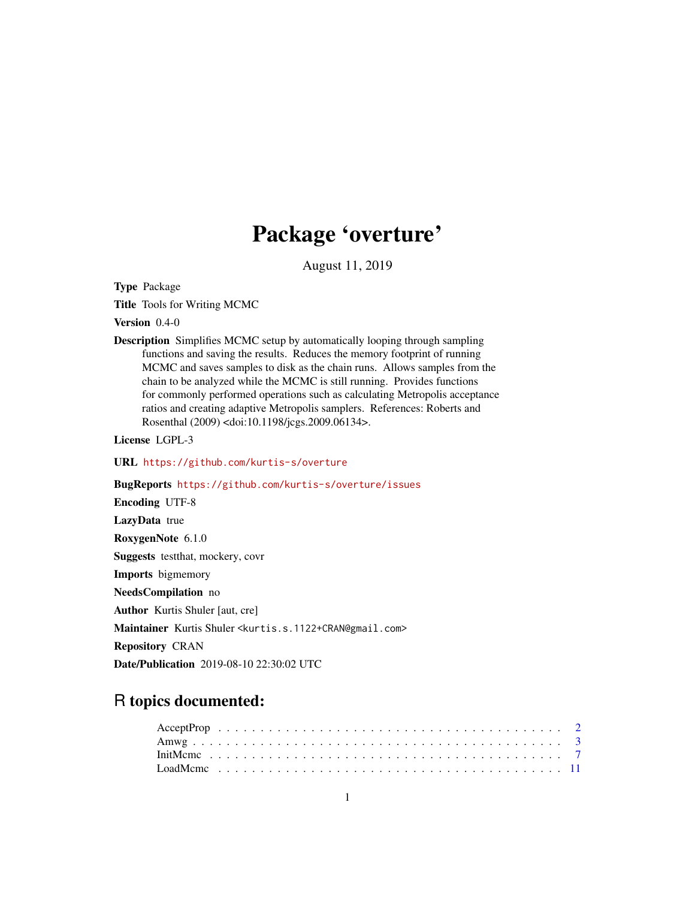# Package 'overture'

August 11, 2019

<span id="page-0-0"></span>Type Package

Title Tools for Writing MCMC

Version 0.4-0

Description Simplifies MCMC setup by automatically looping through sampling functions and saving the results. Reduces the memory footprint of running MCMC and saves samples to disk as the chain runs. Allows samples from the chain to be analyzed while the MCMC is still running. Provides functions for commonly performed operations such as calculating Metropolis acceptance ratios and creating adaptive Metropolis samplers. References: Roberts and Rosenthal (2009) <doi:10.1198/jcgs.2009.06134>.

License LGPL-3

URL <https://github.com/kurtis-s/overture>

BugReports <https://github.com/kurtis-s/overture/issues>

Encoding UTF-8 LazyData true RoxygenNote 6.1.0 Suggests testthat, mockery, covr Imports bigmemory NeedsCompilation no Author Kurtis Shuler [aut, cre] Maintainer Kurtis Shuler <kurtis.s.1122+CRAN@gmail.com> Repository CRAN

Date/Publication 2019-08-10 22:30:02 UTC

## R topics documented: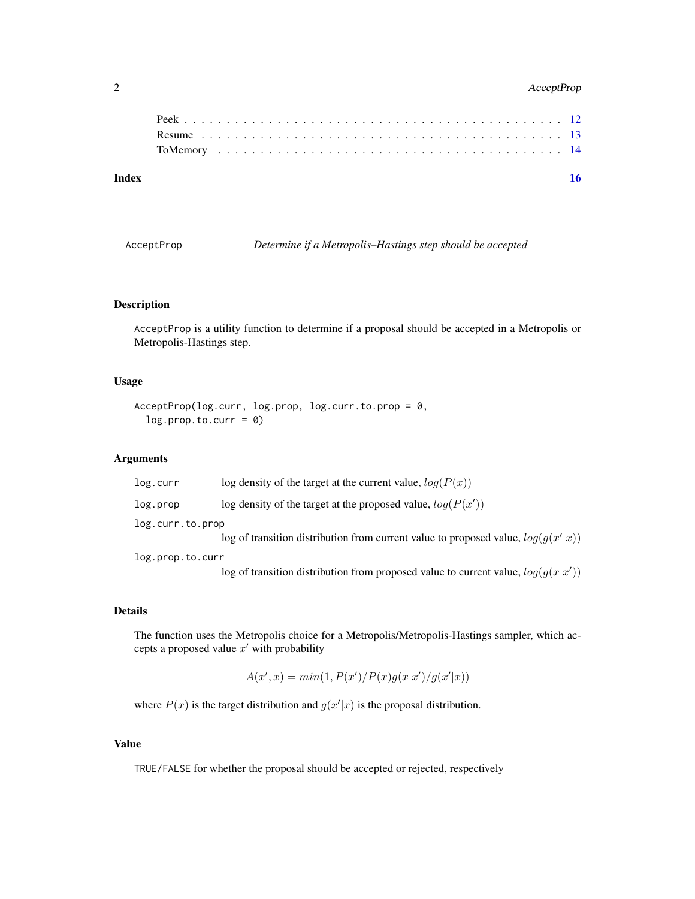### <span id="page-1-0"></span>2 AcceptProp

| Index |  |  |  |  |  |  |  |  |  |  |  |  |  |  |  |  |  |  |  |  |
|-------|--|--|--|--|--|--|--|--|--|--|--|--|--|--|--|--|--|--|--|--|
|       |  |  |  |  |  |  |  |  |  |  |  |  |  |  |  |  |  |  |  |  |
|       |  |  |  |  |  |  |  |  |  |  |  |  |  |  |  |  |  |  |  |  |
|       |  |  |  |  |  |  |  |  |  |  |  |  |  |  |  |  |  |  |  |  |
|       |  |  |  |  |  |  |  |  |  |  |  |  |  |  |  |  |  |  |  |  |

AcceptProp *Determine if a Metropolis–Hastings step should be accepted*

#### Description

AcceptProp is a utility function to determine if a proposal should be accepted in a Metropolis or Metropolis-Hastings step.

#### Usage

```
AcceptProp(log.curr, log.prop, log.curr.to.prop = 0,
  log.prop.to.curr = 0)
```
#### Arguments

| log.curr         | log density of the target at the current value, $log(P(x))$                         |
|------------------|-------------------------------------------------------------------------------------|
| log.prop         | log density of the target at the proposed value, $log(P(x'))$                       |
| log.curr.to.prop |                                                                                     |
|                  | log of transition distribution from current value to proposed value, $log(q(x' x))$ |
| log.prop.to.curr |                                                                                     |
|                  | log of transition distribution from proposed value to current value, $log(g(x x'))$ |

#### Details

The function uses the Metropolis choice for a Metropolis/Metropolis-Hastings sampler, which accepts a proposed value  $x'$  with probability

$$
A(x',x) = min(1, P(x')/P(x)g(x|x')/g(x'|x))
$$

where  $P(x)$  is the target distribution and  $g(x'|x)$  is the proposal distribution.

#### Value

TRUE/FALSE for whether the proposal should be accepted or rejected, respectively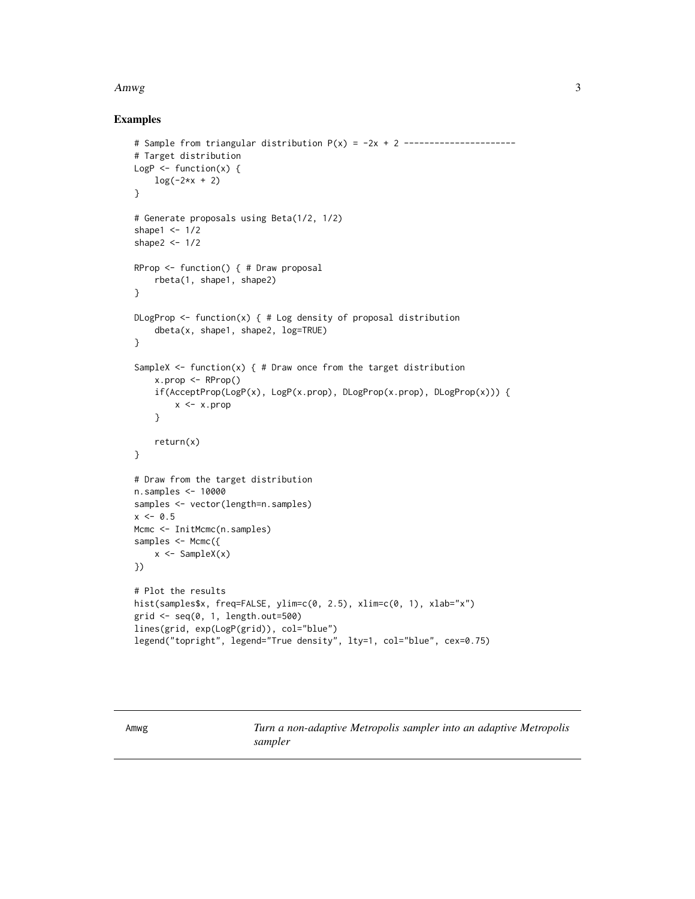#### <span id="page-2-0"></span> $A mwg$  3

#### Examples

```
# Sample from triangular distribution P(x) = -2x + 2 ----------------------
# Target distribution
LogP \leftarrow function(x) {
    log(-2*x + 2)
}
# Generate proposals using Beta(1/2, 1/2)
shape1 <-1/2shape2 <- 1/2
RProp <- function() { # Draw proposal
    rbeta(1, shape1, shape2)
}
DLogProp \leq function(x) { # Log density of proposal distribution
    dbeta(x, shape1, shape2, log=TRUE)
}
SampleX \leq function(x) { # Draw once from the target distribution
    x.prop <- RProp()
    if(AcceptProp(LogP(x), LogP(x.prop), DLogProp(x.prop), DLogProp(x))) {
        x < -x.prop}
    return(x)
}
# Draw from the target distribution
n.samples <- 10000
samples <- vector(length=n.samples)
x \le -0.5Mcmc <- InitMcmc(n.samples)
samples <- Mcmc({
    x \leftarrow SampleX(x)})
# Plot the results
hist(samples$x, freq=FALSE, ylim=c(0, 2.5), xlim=c(0, 1), xlab="x")
grid <- seq(0, 1, length.out=500)
lines(grid, exp(LogP(grid)), col="blue")
legend("topright", legend="True density", lty=1, col="blue", cex=0.75)
```
Amwg *Turn a non-adaptive Metropolis sampler into an adaptive Metropolis sampler*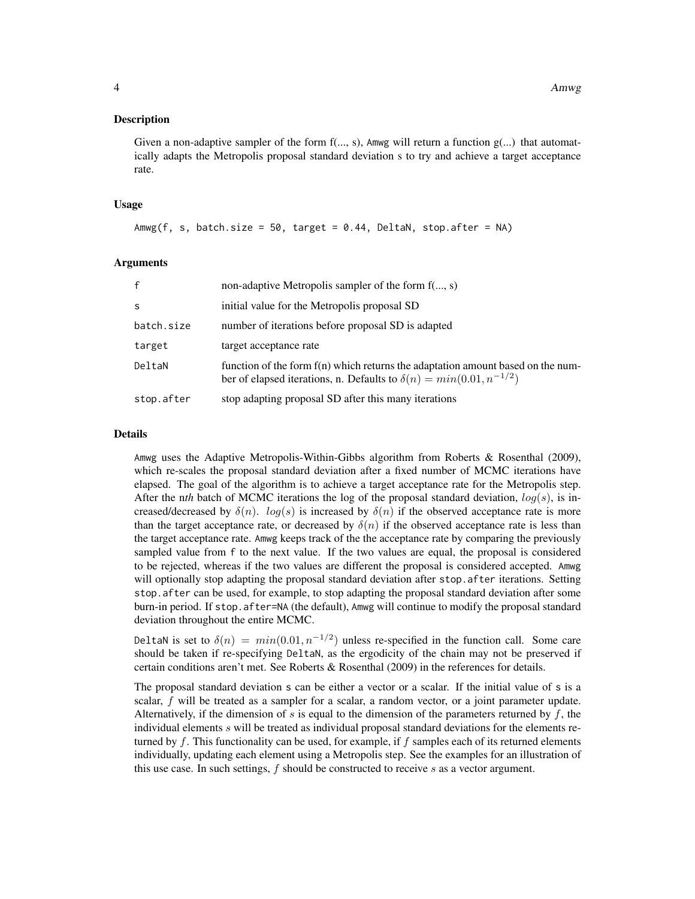#### Description

Given a non-adaptive sampler of the form  $f(..., s)$ , Amwg will return a function  $g(...)$  that automatically adapts the Metropolis proposal standard deviation s to try and achieve a target acceptance rate.

#### Usage

```
Amwg(f, s, batch.size = 50, target = 0.44, DeltaN, stop.after = NA)
```
#### Arguments

| $\mathbf{f}$ | non-adaptive Metropolis sampler of the form f(, s)                                                                                                               |
|--------------|------------------------------------------------------------------------------------------------------------------------------------------------------------------|
| -S           | initial value for the Metropolis proposal SD                                                                                                                     |
| batch.size   | number of iterations before proposal SD is adapted                                                                                                               |
| target       | target acceptance rate                                                                                                                                           |
| DeltaN       | function of the form $f(n)$ which returns the adaptation amount based on the num-<br>ber of elapsed iterations, n. Defaults to $\delta(n) = min(0.01, n^{-1/2})$ |
| stop.after   | stop adapting proposal SD after this many iterations                                                                                                             |

#### Details

Amwg uses the Adaptive Metropolis-Within-Gibbs algorithm from Roberts & Rosenthal (2009), which re-scales the proposal standard deviation after a fixed number of MCMC iterations have elapsed. The goal of the algorithm is to achieve a target acceptance rate for the Metropolis step. After the *nth* batch of MCMC iterations the log of the proposal standard deviation,  $log(s)$ , is increased/decreased by  $\delta(n)$ .  $log(s)$  is increased by  $\delta(n)$  if the observed acceptance rate is more than the target acceptance rate, or decreased by  $\delta(n)$  if the observed acceptance rate is less than the target acceptance rate. Amwg keeps track of the the acceptance rate by comparing the previously sampled value from f to the next value. If the two values are equal, the proposal is considered to be rejected, whereas if the two values are different the proposal is considered accepted. Amwg will optionally stop adapting the proposal standard deviation after stop. after iterations. Setting stop.after can be used, for example, to stop adapting the proposal standard deviation after some burn-in period. If stop.after=NA (the default), Amwg will continue to modify the proposal standard deviation throughout the entire MCMC.

DeltaN is set to  $\delta(n) = min(0.01, n^{-1/2})$  unless re-specified in the function call. Some care should be taken if re-specifying DeltaN, as the ergodicity of the chain may not be preserved if certain conditions aren't met. See Roberts & Rosenthal (2009) in the references for details.

The proposal standard deviation s can be either a vector or a scalar. If the initial value of s is a scalar,  $f$  will be treated as a sampler for a scalar, a random vector, or a joint parameter update. Alternatively, if the dimension of s is equal to the dimension of the parameters returned by f, the individual elements s will be treated as individual proposal standard deviations for the elements returned by f. This functionality can be used, for example, if  $f$  samples each of its returned elements individually, updating each element using a Metropolis step. See the examples for an illustration of this use case. In such settings,  $f$  should be constructed to receive  $s$  as a vector argument.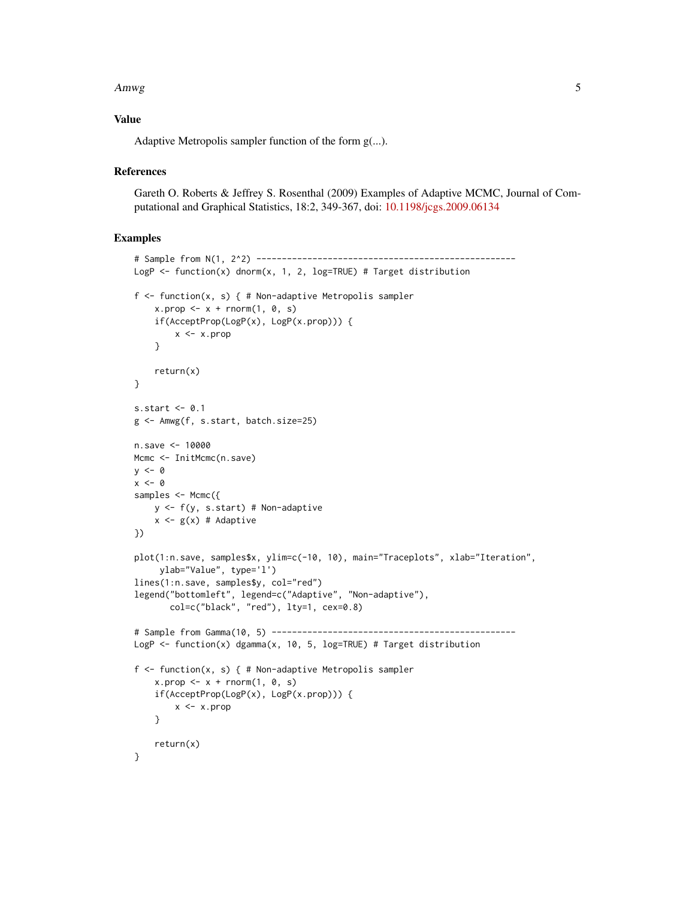#### Amwg 5

#### Value

Adaptive Metropolis sampler function of the form g(...).

#### **References**

Gareth O. Roberts & Jeffrey S. Rosenthal (2009) Examples of Adaptive MCMC, Journal of Computational and Graphical Statistics, 18:2, 349-367, doi: [10.1198/jcgs.2009.06134](http://doi.org/10.1198/jcgs.2009.06134)

#### Examples

```
# Sample from N(1, 2^2) ---------------------------------------------------
LogP \leq function(x) dnorm(x, 1, 2, log=TRUE) # Target distribution
f \le function(x, s) { # Non-adaptive Metropolis sampler
    x.prop \leq -x +rnorm(1, 0, s)if(AcceptProp(LogP(x), LogP(x.prop))) {
        x <- x.prop
    }
    return(x)
}
s.start \leq 0.1g <- Amwg(f, s.start, batch.size=25)
n.save <- 10000
Mcmc <- InitMcmc(n.save)
y \le -\thetax < - \emptysetsamples <- Mcmc({
    y \leftarrow f(y, s.start) # Non-adaptive
    x \leq g(x) # Adaptive
})
plot(1:n.save, samples$x, ylim=c(-10, 10), main="Traceplots", xlab="Iteration",
     ylab="Value", type='l')
lines(1:n.save, samples$y, col="red")
legend("bottomleft", legend=c("Adaptive", "Non-adaptive"),
       col=c("black", "red"), lty=1, cex=0.8)
# Sample from Gamma(10, 5) ------------------------------------------------
LogP \le function(x) dgamma(x, 10, 5, log=TRUE) # Target distribution
f <- function(x, s) { # Non-adaptive Metropolis sampler
    x.prop \leq x +rnorm(1, 0, s)if(AcceptProp(LogP(x), LogP(x.prop))) {
        x <- x.prop
    }
    return(x)
}
```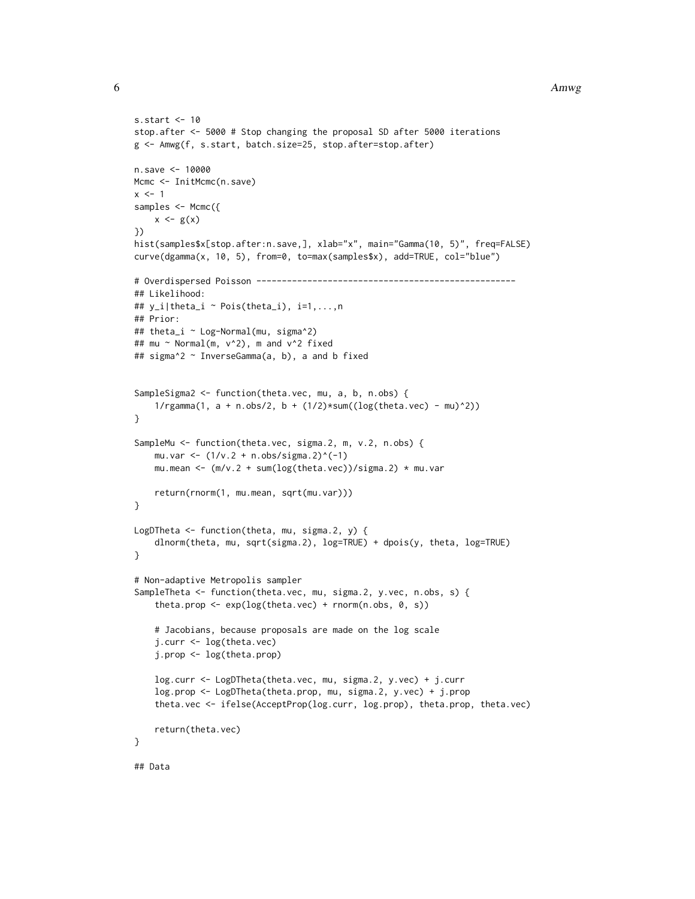#### 6 Amwg

```
s.start <- 10
stop.after <- 5000 # Stop changing the proposal SD after 5000 iterations
g <- Amwg(f, s.start, batch.size=25, stop.after=stop.after)
n.save <- 10000
Mcmc <- InitMcmc(n.save)
x < -1samples <- Mcmc({
   x \leftarrow g(x)})
hist(samples$x[stop.after:n.save,], xlab="x", main="Gamma(10, 5)", freq=FALSE)
curve(dgamma(x, 10, 5), from=0, to=max(samples$x), add=TRUE, col="blue")
# Overdispersed Poisson ---------------------------------------------------
## Likelihood:
## y_i|theta_i ~ Pois(theta_i), i=1,...,n
## Prior:
## theta_i ~ Log-Normal(mu, sigma^2)
## mu ~ Normal(m, v^2), m and v^2 fixed
## sigma^2 ~ InverseGamma(a, b), a and b fixed
SampleSigma2 <- function(theta.vec, mu, a, b, n.obs) {
    1/rgamma(1, a + n.obs/2, b + (1/2)*sum((log(theta.vec) - mu)^2))
}
SampleMu <- function(theta.vec, sigma.2, m, v.2, n.obs) {
    mu.var <- (1/v.2 + n.obs/sigma.2)^(-1)mu.mean <- (m/v.2 + sum(log(theta.vec))/sigma.2) * mu.var
    return(rnorm(1, mu.mean, sqrt(mu.var)))
}
LogDTheta <- function(theta, mu, sigma.2, y) {
    dlnorm(theta, mu, sqrt(sigma.2), log=TRUE) + dpois(y, theta, log=TRUE)
}
# Non-adaptive Metropolis sampler
SampleTheta <- function(theta.vec, mu, sigma.2, y.vec, n.obs, s) {
    theta.prop \leq -\exp(\log(\text{theta}.\text{vec}) + \text{norm}(n.\text{obs}, 0, s))# Jacobians, because proposals are made on the log scale
    j.curr <- log(theta.vec)
    j.prop <- log(theta.prop)
    log.curr <- LogDTheta(theta.vec, mu, sigma.2, y.vec) + j.curr
    log.prop <- LogDTheta(theta.prop, mu, sigma.2, y.vec) + j.prop
    theta.vec <- ifelse(AcceptProp(log.curr, log.prop), theta.prop, theta.vec)
    return(theta.vec)
}
## Data
```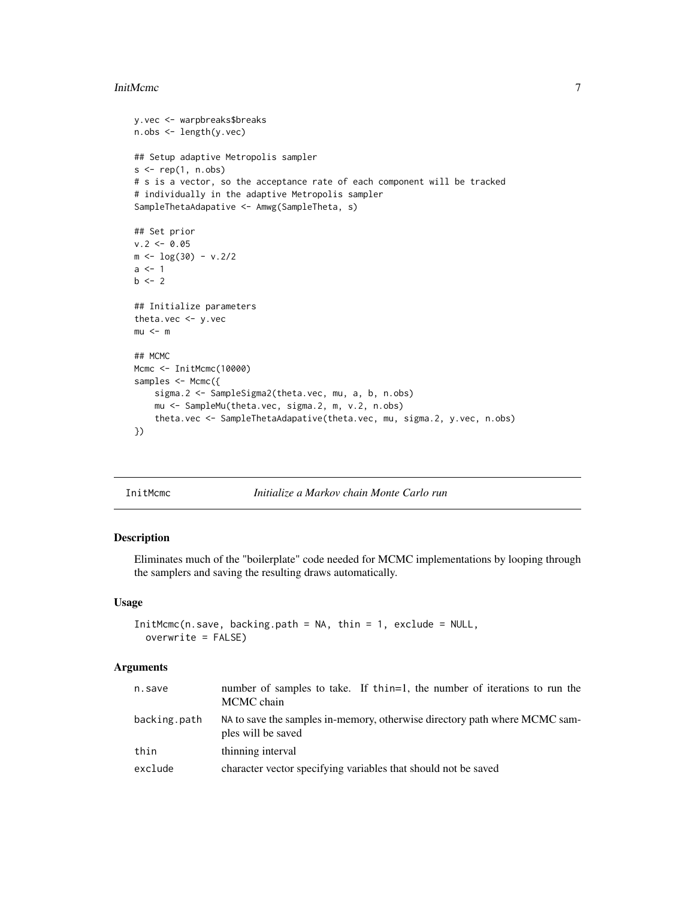#### <span id="page-6-0"></span>InitMcmc 7

```
y.vec <- warpbreaks$breaks
n.obs <- length(y.vec)
## Setup adaptive Metropolis sampler
s < -\text{rep}(1, \text{ n.obs})# s is a vector, so the acceptance rate of each component will be tracked
# individually in the adaptive Metropolis sampler
SampleThetaAdapative <- Amwg(SampleTheta, s)
## Set prior
v.2 < -0.05m < -\log(30) - v.2/2a \leftarrow 1b \le -2## Initialize parameters
theta.vec <- y.vec
mu < - m## MCMC
Mcmc <- InitMcmc(10000)
samples <- Mcmc({
    sigma.2 <- SampleSigma2(theta.vec, mu, a, b, n.obs)
    mu <- SampleMu(theta.vec, sigma.2, m, v.2, n.obs)
    theta.vec <- SampleThetaAdapative(theta.vec, mu, sigma.2, y.vec, n.obs)
})
```
<span id="page-6-1"></span>InitMcmc *Initialize a Markov chain Monte Carlo run*

#### Description

Eliminates much of the "boilerplate" code needed for MCMC implementations by looping through the samplers and saving the resulting draws automatically.

#### Usage

```
InitMcmc(n.save, backing.path = NA, thin = 1, exclude = NULL,
 overwrite = FALSE)
```
#### Arguments

| n.save       | number of samples to take. If thin=1, the number of iterations to run the<br>MCMC chain          |
|--------------|--------------------------------------------------------------------------------------------------|
| backing.path | NA to save the samples in-memory, otherwise directory path where MCMC sam-<br>ples will be saved |
| thin         | thinning interval                                                                                |
| exclude      | character vector specifying variables that should not be saved                                   |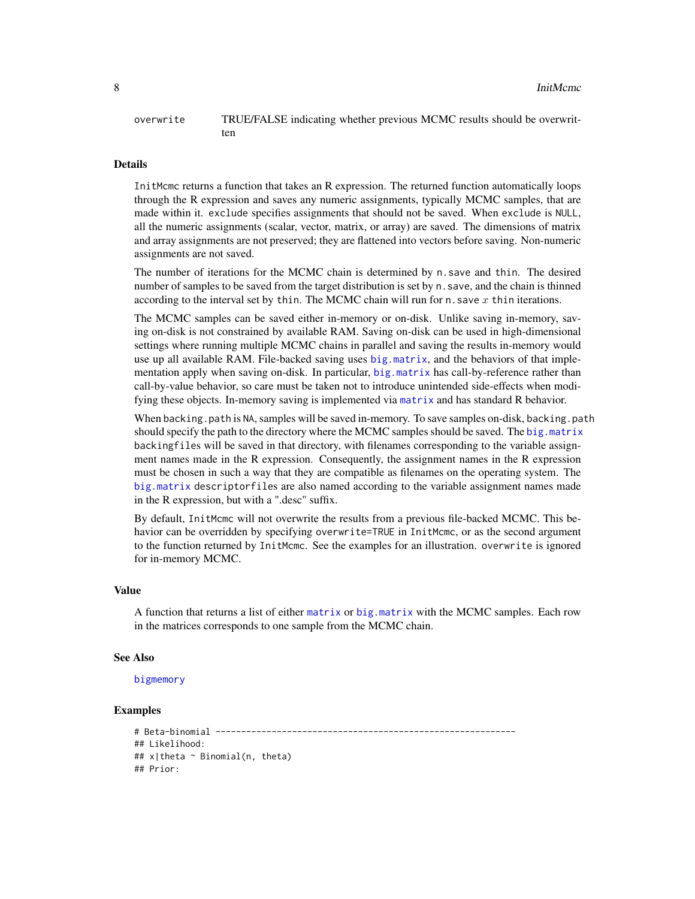#### <span id="page-7-0"></span>overwrite TRUE/FALSE indicating whether previous MCMC results should be overwritten

#### Details

InitMcmc returns a function that takes an R expression. The returned function automatically loops through the R expression and saves any numeric assignments, typically MCMC samples, that are made within it. exclude specifies assignments that should not be saved. When exclude is NULL, all the numeric assignments (scalar, vector, matrix, or array) are saved. The dimensions of matrix and array assignments are not preserved; they are flattened into vectors before saving. Non-numeric assignments are not saved.

The number of iterations for the MCMC chain is determined by n.save and thin. The desired number of samples to be saved from the target distribution is set by n. save, and the chain is thinned according to the interval set by thin. The MCMC chain will run for n. save  $x$  thin iterations.

The MCMC samples can be saved either in-memory or on-disk. Unlike saving in-memory, saving on-disk is not constrained by available RAM. Saving on-disk can be used in high-dimensional settings where running multiple MCMC chains in parallel and saving the results in-memory would use up all available RAM. File-backed saving uses [big.matrix](#page-0-0), and the behaviors of that implementation apply when saving on-disk. In particular, [big.matrix](#page-0-0) has call-by-reference rather than call-by-value behavior, so care must be taken not to introduce unintended side-effects when modifying these objects. In-memory saving is implemented via [matrix](#page-0-0) and has standard R behavior.

When backing.path is NA, samples will be saved in-memory. To save samples on-disk, backing.path should specify the path to the directory where the MCMC samples should be saved. The [big.matrix](#page-0-0) backingfiles will be saved in that directory, with filenames corresponding to the variable assignment names made in the R expression. Consequently, the assignment names in the R expression must be chosen in such a way that they are compatible as filenames on the operating system. The [big.matrix](#page-0-0) descriptorfiles are also named according to the variable assignment names made in the R expression, but with a ".desc" suffix.

By default, InitMcmc will not overwrite the results from a previous file-backed MCMC. This behavior can be overridden by specifying overwrite=TRUE in InitMcmc, or as the second argument to the function returned by InitMcmc. See the examples for an illustration. overwrite is ignored for in-memory MCMC.

#### Value

A function that returns a list of either [matrix](#page-0-0) or [big.matrix](#page-0-0) with the MCMC samples. Each row in the matrices corresponds to one sample from the MCMC chain.

#### See Also

#### [bigmemory](#page-0-0)

#### Examples

```
# Beta-binomial -----------------------------------------------------------
## Likelihood:
## x|theta ~ Binomial(n, theta)
## Prior:
```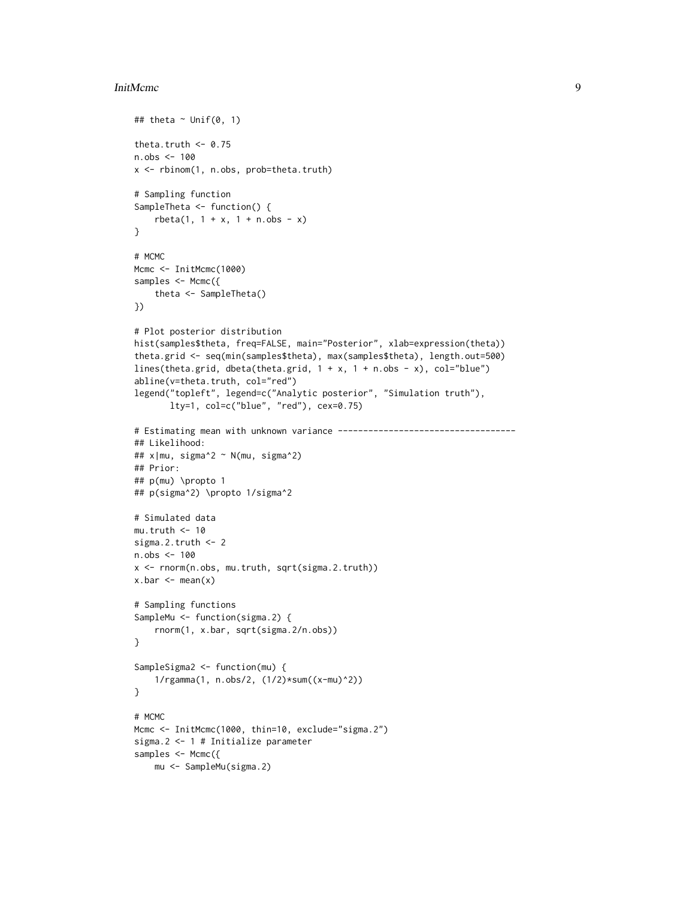#### InitMcmc 9

```
## theta \sim Unif(0, 1)
theta.truth <- 0.75
n.obs <- 100
x <- rbinom(1, n.obs, prob=theta.truth)
# Sampling function
SampleTheta <- function() {
    rbeta(1, 1 + x, 1 + n.obs - x)
}
# MCMC
Mcmc <- InitMcmc(1000)
samples <- Mcmc({
    theta <- SampleTheta()
})
# Plot posterior distribution
hist(samples$theta, freq=FALSE, main="Posterior", xlab=expression(theta))
theta.grid <- seq(min(samples$theta), max(samples$theta), length.out=500)
lines(theta.grid, dbeta(theta.grid, 1 + x, 1 + n.obs - x), col="blue")
abline(v=theta.truth, col="red")
legend("topleft", legend=c("Analytic posterior", "Simulation truth"),
       lty=1, col=c("blue", "red"), cex=0.75)
# Estimating mean with unknown variance -----------------------------------
## Likelihood:
## x|mu, sigma^2 ~ N(mu, sigma^2)
## Prior:
## p(mu) \propto 1
## p(sigma^2) \propto 1/sigma^2
# Simulated data
mu.truth <-10sigma.2.truth <- 2
n.obs <- 100
x <- rnorm(n.obs, mu.truth, sqrt(sigma.2.truth))
x.bar \leftarrow mean(x)# Sampling functions
SampleMu <- function(sigma.2) {
    rnorm(1, x.bar, sqrt(sigma.2/n.obs))
}
SampleSigma2 <- function(mu) {
    1/rgamma(1, n.obs/2, (1/2)*sum((x-mu)^2))
}
# MCMC
Mcmc <- InitMcmc(1000, thin=10, exclude="sigma.2")
sigma.2 <- 1 # Initialize parameter
samples <- Mcmc({
   mu <- SampleMu(sigma.2)
```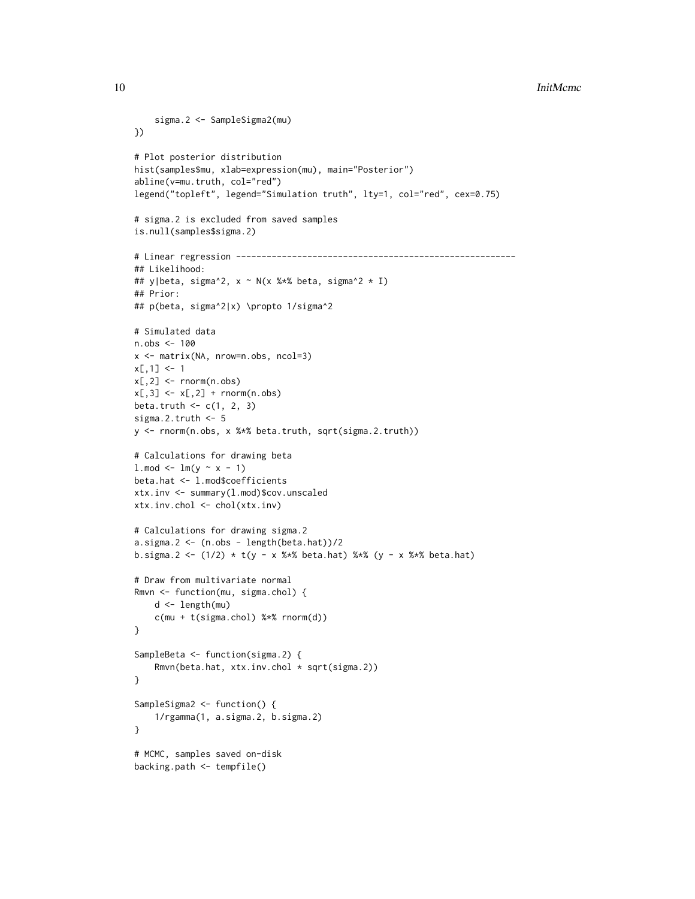```
10 InitMcmc
```

```
sigma.2 <- SampleSigma2(mu)
})
# Plot posterior distribution
hist(samples$mu, xlab=expression(mu), main="Posterior")
abline(v=mu.truth, col="red")
legend("topleft", legend="Simulation truth", lty=1, col="red", cex=0.75)
# sigma.2 is excluded from saved samples
is.null(samples$sigma.2)
# Linear regression -------------------------------------------------------
## Likelihood:
## y|beta, sigma^2, x ~ N(x %*% beta, sigma^2 * I)
## Prior:
## p(beta, sigma^2|x) \propto 1/sigma^2
# Simulated data
n.obs <- 100
x <- matrix(NA, nrow=n.obs, ncol=3)
x[, 1] <- 1
x[, 2] <- rnorm(n.obs)x[,3] \leftarrow x[,2] + \text{norm}(n.obs)beta.truth \leq c(1, 2, 3)sigma.2.truth <- 5
y <- rnorm(n.obs, x %*% beta.truth, sqrt(sigma.2.truth))
# Calculations for drawing beta
1.\text{mod} < \text{lm}(y \sim x - 1)beta.hat <- l.mod$coefficients
xtx.inv <- summary(l.mod)$cov.unscaled
xtx.inv.chol <- chol(xtx.inv)
# Calculations for drawing sigma.2
a.sigma.2 < - (n.obs - length(beta.hat))/2b.sigma.2 <- (1/2) * t(y - x %*% beta.hat) %*% (y - x %*% beta.hat)
# Draw from multivariate normal
Rmvn <- function(mu, sigma.chol) {
    d <- length(mu)
    c(mu + t(sigma.chol) %*% rnorm(d))
}
SampleBeta <- function(sigma.2) {
    Rmvn(beta.hat, xtx.inv.chol * sqrt(sigma.2))
}
SampleSigma2 <- function() {
    1/rgamma(1, a.sigma.2, b.sigma.2)
}
# MCMC, samples saved on-disk
backing.path <- tempfile()
```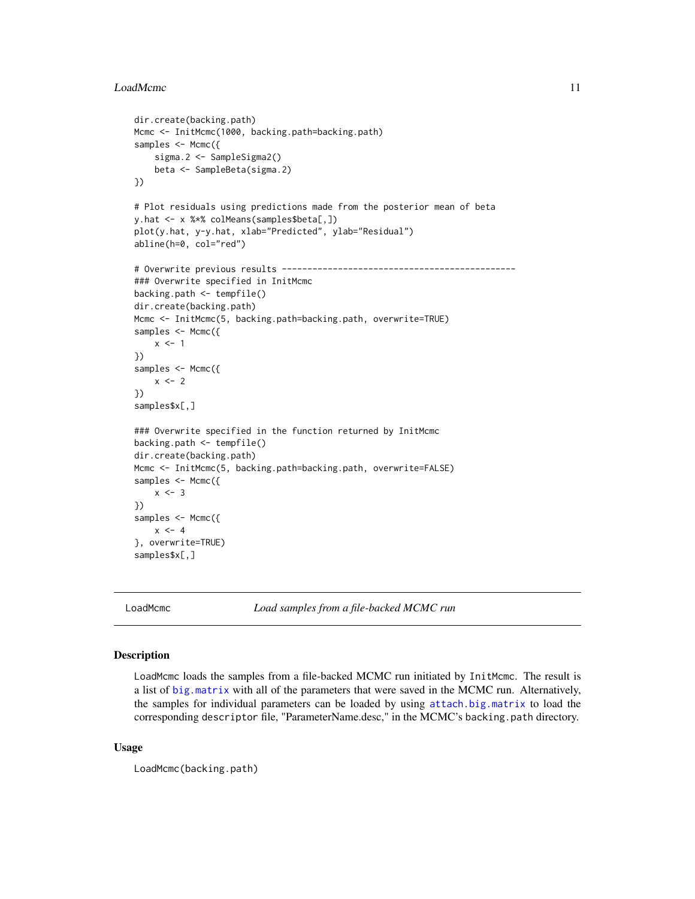#### <span id="page-10-0"></span>LoadMcmc 11

```
dir.create(backing.path)
Mcmc <- InitMcmc(1000, backing.path=backing.path)
samples <- Mcmc({
   sigma.2 <- SampleSigma2()
    beta <- SampleBeta(sigma.2)
})
# Plot residuals using predictions made from the posterior mean of beta
y.hat <- x %*% colMeans(samples$beta[,])
plot(y.hat, y-y.hat, xlab="Predicted", ylab="Residual")
abline(h=0, col="red")
# Overwrite previous results ----------------------------------------------
### Overwrite specified in InitMcmc
backing.path <- tempfile()
dir.create(backing.path)
Mcmc <- InitMcmc(5, backing.path=backing.path, overwrite=TRUE)
samples <- Mcmc({
   x \le -1})
samples <- Mcmc({
    x \le -2})
samples$x[,]
### Overwrite specified in the function returned by InitMcmc
backing.path <- tempfile()
dir.create(backing.path)
Mcmc <- InitMcmc(5, backing.path=backing.path, overwrite=FALSE)
samples <- Mcmc({
   x \le -3})
samples <- Mcmc({
   x \le -4}, overwrite=TRUE)
samples$x[,]
```
<span id="page-10-1"></span>

LoadMcmc *Load samples from a file-backed MCMC run*

#### Description

LoadMcmc loads the samples from a file-backed MCMC run initiated by InitMcmc. The result is a list of [big.matrix](#page-0-0) with all of the parameters that were saved in the MCMC run. Alternatively, the samples for individual parameters can be loaded by using [attach.big.matrix](#page-0-0) to load the corresponding descriptor file, "ParameterName.desc," in the MCMC's backing.path directory.

#### Usage

```
LoadMcmc(backing.path)
```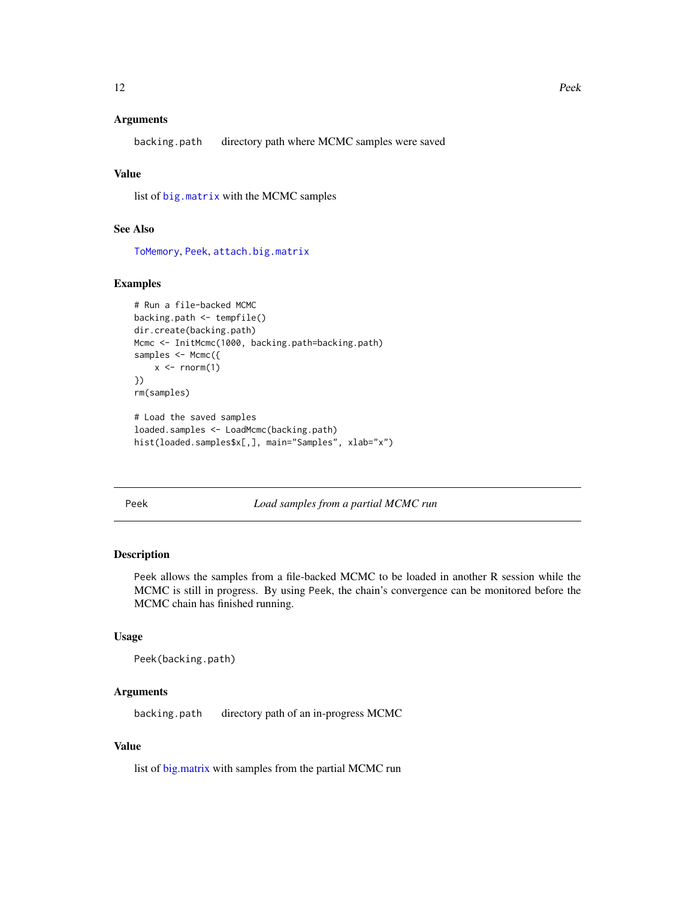#### <span id="page-11-0"></span>Arguments

backing.path directory path where MCMC samples were saved

#### Value

list of [big.matrix](#page-0-0) with the MCMC samples

#### See Also

[ToMemory](#page-13-1), [Peek](#page-11-1), [attach.big.matrix](#page-0-0)

#### Examples

```
# Run a file-backed MCMC
backing.path <- tempfile()
dir.create(backing.path)
Mcmc <- InitMcmc(1000, backing.path=backing.path)
samples <- Mcmc({
    x \leftarrow \text{rnorm}(1)})
rm(samples)
# Load the saved samples
```

```
loaded.samples <- LoadMcmc(backing.path)
hist(loaded.samples$x[,], main="Samples", xlab="x")
```
<span id="page-11-1"></span>Peek *Load samples from a partial MCMC run*

#### Description

Peek allows the samples from a file-backed MCMC to be loaded in another R session while the MCMC is still in progress. By using Peek, the chain's convergence can be monitored before the MCMC chain has finished running.

#### Usage

```
Peek(backing.path)
```
#### Arguments

backing.path directory path of an in-progress MCMC

#### Value

list of [big.matrix](#page-0-0) with samples from the partial MCMC run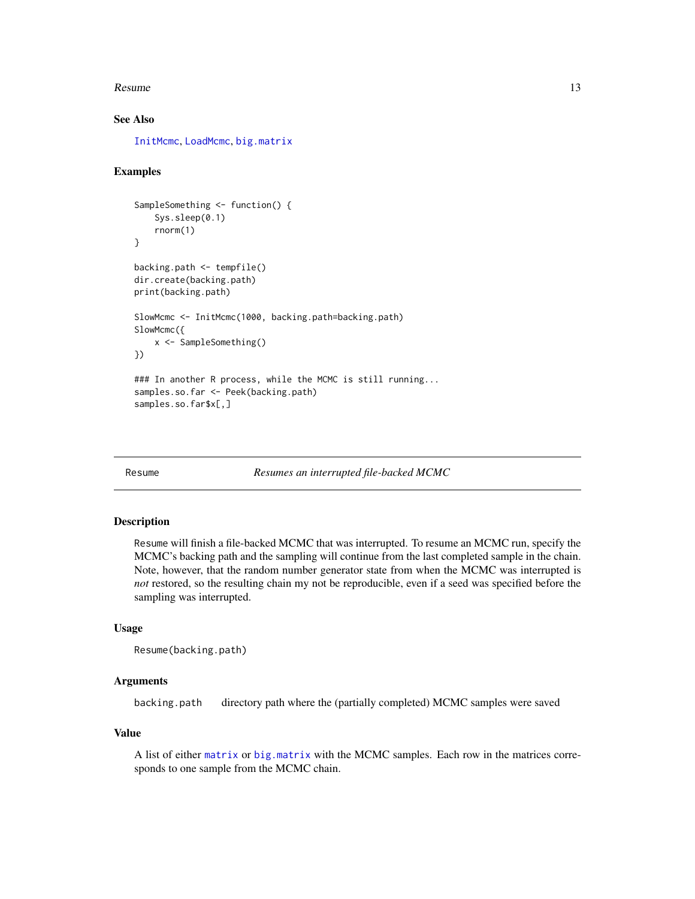#### <span id="page-12-0"></span>Resume and the state of the state of the state of the state of the state of the state of the state of the state of the state of the state of the state of the state of the state of the state of the state of the state of the

#### See Also

[InitMcmc](#page-6-1), [LoadMcmc](#page-10-1), [big.matrix](#page-0-0)

#### Examples

```
SampleSomething <- function() {
    Sys.sleep(0.1)
    rnorm(1)
}
backing.path <- tempfile()
dir.create(backing.path)
print(backing.path)
SlowMcmc <- InitMcmc(1000, backing.path=backing.path)
SlowMcmc({
   x <- SampleSomething()
})
### In another R process, while the MCMC is still running...
samples.so.far <- Peek(backing.path)
samples.so.far$x[,]
```
Resume *Resumes an interrupted file-backed MCMC*

#### Description

Resume will finish a file-backed MCMC that was interrupted. To resume an MCMC run, specify the MCMC's backing path and the sampling will continue from the last completed sample in the chain. Note, however, that the random number generator state from when the MCMC was interrupted is *not* restored, so the resulting chain my not be reproducible, even if a seed was specified before the sampling was interrupted.

#### Usage

```
Resume(backing.path)
```
#### Arguments

backing.path directory path where the (partially completed) MCMC samples were saved

#### Value

A list of either [matrix](#page-0-0) or [big.matrix](#page-0-0) with the MCMC samples. Each row in the matrices corresponds to one sample from the MCMC chain.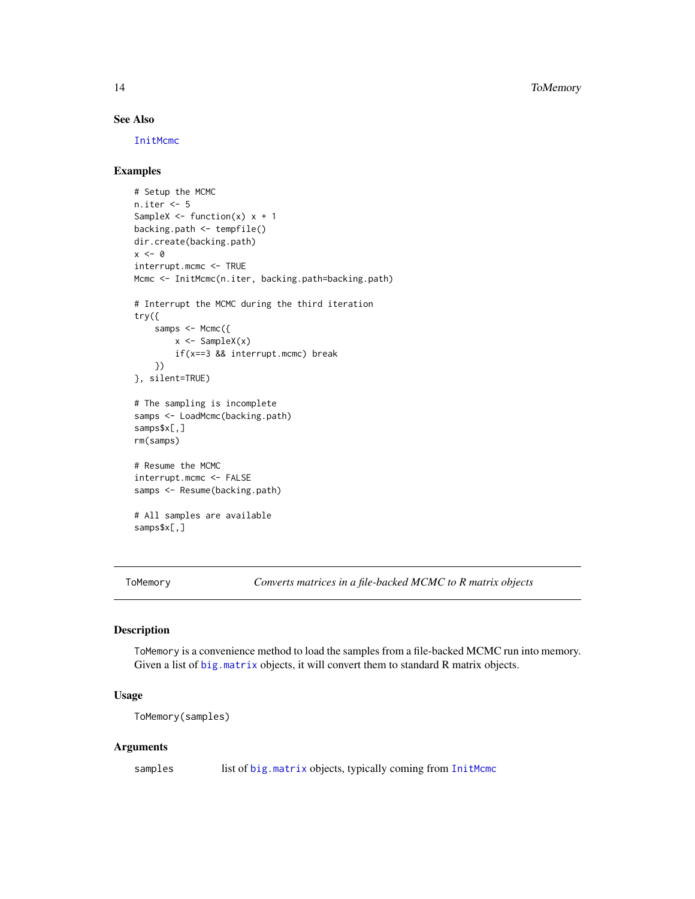#### See Also

[InitMcmc](#page-6-1)

#### Examples

```
# Setup the MCMC
n.iter <- 5
SampleX \leq function(x) x + 1backing.path <- tempfile()
dir.create(backing.path)
x < - \thetainterrupt.mcmc <- TRUE
Mcmc <- InitMcmc(n.iter, backing.path=backing.path)
# Interrupt the MCMC during the third iteration
try({
    samps <- Mcmc({
        x \leftarrow SampleX(x)if(x==3 && interrupt.mcmc) break
    })
}, silent=TRUE)
# The sampling is incomplete
samps <- LoadMcmc(backing.path)
samps$x[,]
rm(samps)
# Resume the MCMC
interrupt.mcmc <- FALSE
samps <- Resume(backing.path)
# All samples are available
samps$x[,]
```
<span id="page-13-1"></span>ToMemory *Converts matrices in a file-backed MCMC to R matrix objects*

#### Description

ToMemory is a convenience method to load the samples from a file-backed MCMC run into memory. Given a list of [big.matrix](#page-0-0) objects, it will convert them to standard R matrix objects.

#### Usage

```
ToMemory(samples)
```
#### Arguments

samples list of [big.matrix](#page-0-0) objects, typically coming from [InitMcmc](#page-6-1)

<span id="page-13-0"></span>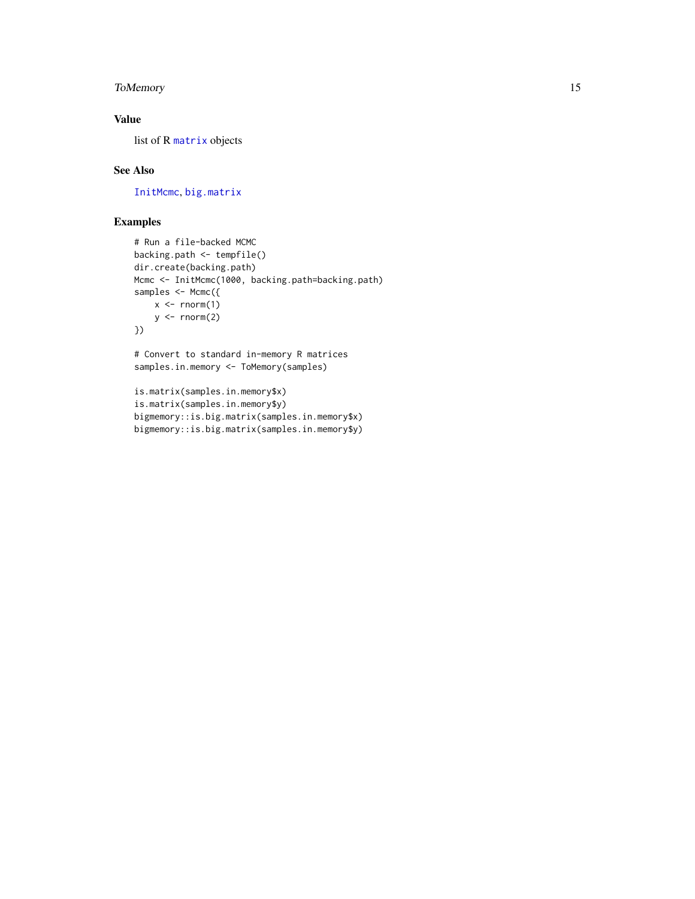#### <span id="page-14-0"></span>ToMemory 15

#### Value

list of R [matrix](#page-0-0) objects

#### See Also

[InitMcmc](#page-6-1), [big.matrix](#page-0-0)

#### Examples

```
# Run a file-backed MCMC
backing.path <- tempfile()
dir.create(backing.path)
Mcmc <- InitMcmc(1000, backing.path=backing.path)
samples <- Mcmc({
    x \le rnorm(1)
    y \leftarrow \text{norm}(2)})
# Convert to standard in-memory R matrices
samples.in.memory <- ToMemory(samples)
is.matrix(samples.in.memory$x)
```

```
is.matrix(samples.in.memory$y)
bigmemory::is.big.matrix(samples.in.memory$x)
bigmemory::is.big.matrix(samples.in.memory$y)
```